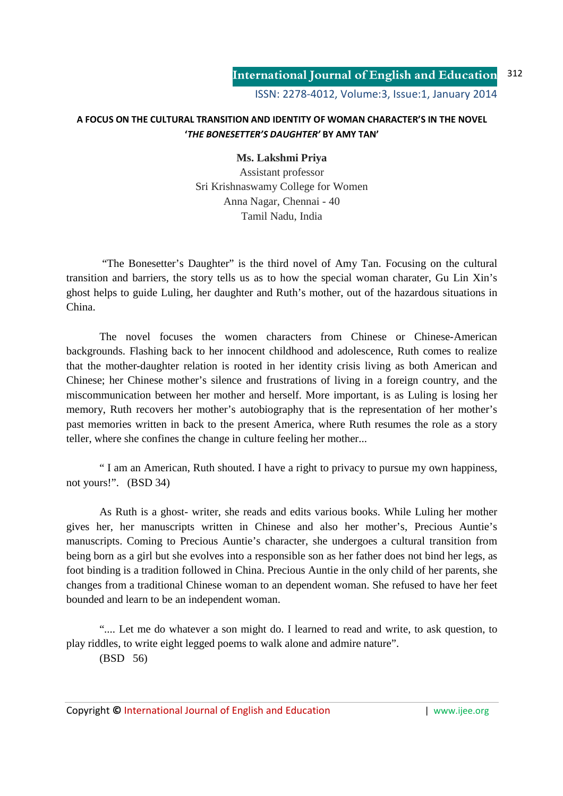## **A FOCUS ON THE CULTURAL TRANSITION AND IDENTITY OF WOMAN CHARACTER'S IN THE NOVEL '***THE BONESETTER'S DAUGHTER'* **BY AMY TAN'**

## **Ms. Lakshmi Priya**

Assistant professor Sri Krishnaswamy College for Women Anna Nagar, Chennai - 40 Tamil Nadu, India

 "The Bonesetter's Daughter" is the third novel of Amy Tan. Focusing on the cultural transition and barriers, the story tells us as to how the special woman charater, Gu Lin Xin's ghost helps to guide Luling, her daughter and Ruth's mother, out of the hazardous situations in China.

The novel focuses the women characters from Chinese or Chinese-American backgrounds. Flashing back to her innocent childhood and adolescence, Ruth comes to realize that the mother-daughter relation is rooted in her identity crisis living as both American and Chinese; her Chinese mother's silence and frustrations of living in a foreign country, and the miscommunication between her mother and herself. More important, is as Luling is losing her memory, Ruth recovers her mother's autobiography that is the representation of her mother's past memories written in back to the present America, where Ruth resumes the role as a story teller, where she confines the change in culture feeling her mother...

" I am an American, Ruth shouted. I have a right to privacy to pursue my own happiness, not yours!". (BSD 34)

As Ruth is a ghost- writer, she reads and edits various books. While Luling her mother gives her, her manuscripts written in Chinese and also her mother's, Precious Auntie's manuscripts. Coming to Precious Auntie's character, she undergoes a cultural transition from being born as a girl but she evolves into a responsible son as her father does not bind her legs, as foot binding is a tradition followed in China. Precious Auntie in the only child of her parents, she changes from a traditional Chinese woman to an dependent woman. She refused to have her feet bounded and learn to be an independent woman.

".... Let me do whatever a son might do. I learned to read and write, to ask question, to play riddles, to write eight legged poems to walk alone and admire nature". (BSD 56)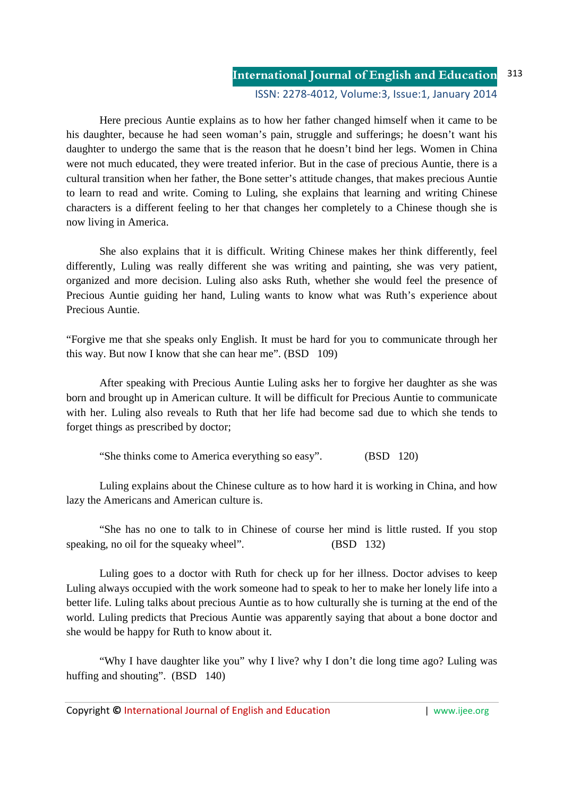## **International Journal of English and Education** ISSN: 2278-4012, Volume:3, Issue:1, January 2014 313

Here precious Auntie explains as to how her father changed himself when it came to be his daughter, because he had seen woman's pain, struggle and sufferings; he doesn't want his daughter to undergo the same that is the reason that he doesn't bind her legs. Women in China were not much educated, they were treated inferior. But in the case of precious Auntie, there is a cultural transition when her father, the Bone setter's attitude changes, that makes precious Auntie to learn to read and write. Coming to Luling, she explains that learning and writing Chinese characters is a different feeling to her that changes her completely to a Chinese though she is now living in America.

She also explains that it is difficult. Writing Chinese makes her think differently, feel differently, Luling was really different she was writing and painting, she was very patient, organized and more decision. Luling also asks Ruth, whether she would feel the presence of Precious Auntie guiding her hand, Luling wants to know what was Ruth's experience about Precious Auntie.

"Forgive me that she speaks only English. It must be hard for you to communicate through her this way. But now I know that she can hear me". (BSD 109)

After speaking with Precious Auntie Luling asks her to forgive her daughter as she was born and brought up in American culture. It will be difficult for Precious Auntie to communicate with her. Luling also reveals to Ruth that her life had become sad due to which she tends to forget things as prescribed by doctor;

"She thinks come to America everything so easy". (BSD 120)

Luling explains about the Chinese culture as to how hard it is working in China, and how lazy the Americans and American culture is.

"She has no one to talk to in Chinese of course her mind is little rusted. If you stop speaking, no oil for the squeaky wheel". (BSD 132)

Luling goes to a doctor with Ruth for check up for her illness. Doctor advises to keep Luling always occupied with the work someone had to speak to her to make her lonely life into a better life. Luling talks about precious Auntie as to how culturally she is turning at the end of the world. Luling predicts that Precious Auntie was apparently saying that about a bone doctor and she would be happy for Ruth to know about it.

"Why I have daughter like you" why I live? why I don't die long time ago? Luling was huffing and shouting". (BSD 140)